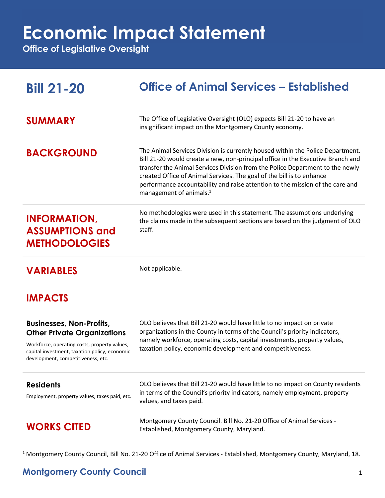## **Economic Impact Statement**

**Office of Legislative Oversight**

| <b>Bill 21-20</b>                                                                                                                                                                                            | <b>Office of Animal Services - Established</b>                                                                                                                                                                                                                                                                                                                                                                                                      |
|--------------------------------------------------------------------------------------------------------------------------------------------------------------------------------------------------------------|-----------------------------------------------------------------------------------------------------------------------------------------------------------------------------------------------------------------------------------------------------------------------------------------------------------------------------------------------------------------------------------------------------------------------------------------------------|
| <b>SUMMARY</b>                                                                                                                                                                                               | The Office of Legislative Oversight (OLO) expects Bill 21-20 to have an<br>insignificant impact on the Montgomery County economy.                                                                                                                                                                                                                                                                                                                   |
| <b>BACKGROUND</b>                                                                                                                                                                                            | The Animal Services Division is currently housed within the Police Department.<br>Bill 21-20 would create a new, non-principal office in the Executive Branch and<br>transfer the Animal Services Division from the Police Department to the newly<br>created Office of Animal Services. The goal of the bill is to enhance<br>performance accountability and raise attention to the mission of the care and<br>management of animals. <sup>1</sup> |
| <b>INFORMATION,</b><br><b>ASSUMPTIONS and</b><br><b>METHODOLOGIES</b>                                                                                                                                        | No methodologies were used in this statement. The assumptions underlying<br>the claims made in the subsequent sections are based on the judgment of OLO<br>staff.                                                                                                                                                                                                                                                                                   |
| <b>VARIABLES</b>                                                                                                                                                                                             | Not applicable.                                                                                                                                                                                                                                                                                                                                                                                                                                     |
| <b>IMPACTS</b>                                                                                                                                                                                               |                                                                                                                                                                                                                                                                                                                                                                                                                                                     |
| <b>Businesses, Non-Profits,</b><br><b>Other Private Organizations</b><br>Workforce, operating costs, property values,<br>capital investment, taxation policy, economic<br>development, competitiveness, etc. | OLO believes that Bill 21-20 would have little to no impact on private<br>organizations in the County in terms of the Council's priority indicators,<br>namely workforce, operating costs, capital investments, property values,<br>taxation policy, economic development and competitiveness.                                                                                                                                                      |
| <b>Residents</b><br>Employment, property values, taxes paid, etc.                                                                                                                                            | OLO believes that Bill 21-20 would have little to no impact on County residents<br>in terms of the Council's priority indicators, namely employment, property<br>values, and taxes paid.                                                                                                                                                                                                                                                            |
| <b>WORKS CITED</b>                                                                                                                                                                                           | Montgomery County Council. Bill No. 21-20 Office of Animal Services -<br>Established, Montgomery County, Maryland.                                                                                                                                                                                                                                                                                                                                  |

<sup>1</sup> Montgomery County Council, Bill No. 21-20 Office of Animal Services - Established, Montgomery County, Maryland, 18.

## **Montgomery County Council** 1